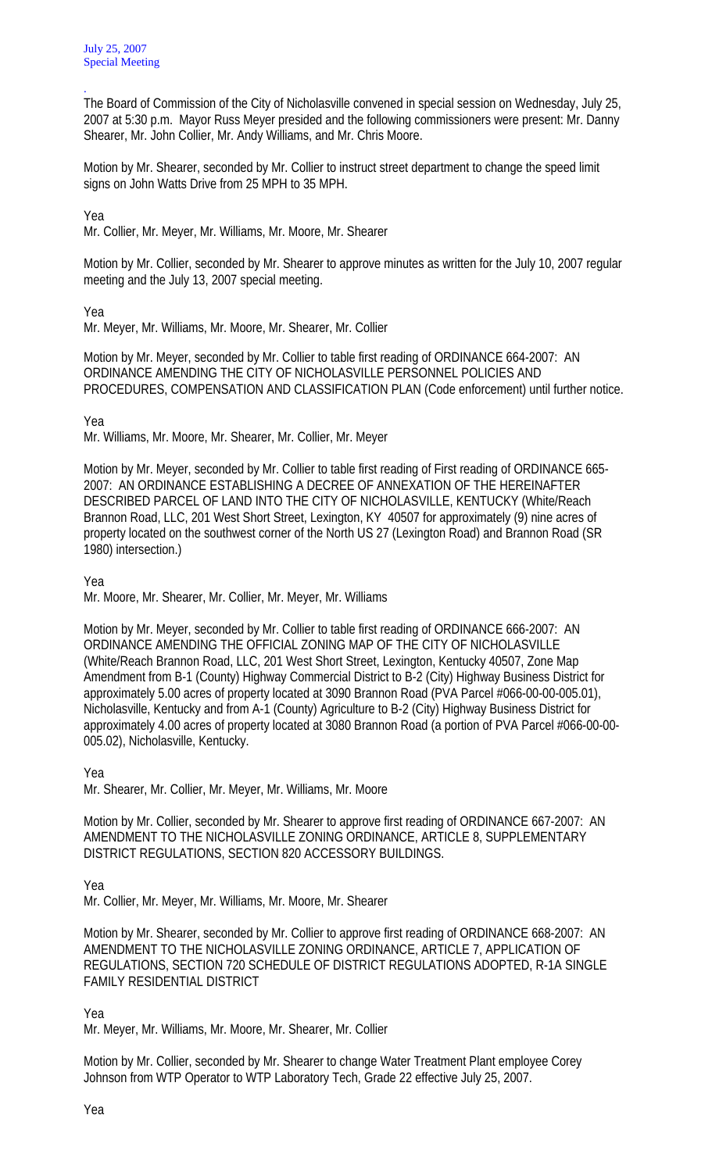The Board of Commission of the City of Nicholasville convened in special session on Wednesday, July 25, 2007 at 5:30 p.m. Mayor Russ Meyer presided and the following commissioners were present: Mr. Danny Shearer, Mr. John Collier, Mr. Andy Williams, and Mr. Chris Moore.

Motion by Mr. Shearer, seconded by Mr. Collier to instruct street department to change the speed limit signs on John Watts Drive from 25 MPH to 35 MPH.

Yea

.

Mr. Collier, Mr. Meyer, Mr. Williams, Mr. Moore, Mr. Shearer

Motion by Mr. Collier, seconded by Mr. Shearer to approve minutes as written for the July 10, 2007 regular meeting and the July 13, 2007 special meeting.

Yea

Mr. Meyer, Mr. Williams, Mr. Moore, Mr. Shearer, Mr. Collier

Motion by Mr. Meyer, seconded by Mr. Collier to table first reading of ORDINANCE 664-2007: AN ORDINANCE AMENDING THE CITY OF NICHOLASVILLE PERSONNEL POLICIES AND PROCEDURES, COMPENSATION AND CLASSIFICATION PLAN (Code enforcement) until further notice.

Yea

Mr. Williams, Mr. Moore, Mr. Shearer, Mr. Collier, Mr. Meyer

Motion by Mr. Meyer, seconded by Mr. Collier to table first reading of First reading of ORDINANCE 665- 2007: AN ORDINANCE ESTABLISHING A DECREE OF ANNEXATION OF THE HEREINAFTER DESCRIBED PARCEL OF LAND INTO THE CITY OF NICHOLASVILLE, KENTUCKY (White/Reach Brannon Road, LLC, 201 West Short Street, Lexington, KY 40507 for approximately (9) nine acres of property located on the southwest corner of the North US 27 (Lexington Road) and Brannon Road (SR 1980) intersection.)

Yea

Mr. Moore, Mr. Shearer, Mr. Collier, Mr. Meyer, Mr. Williams

Motion by Mr. Meyer, seconded by Mr. Collier to table first reading of ORDINANCE 666-2007: AN ORDINANCE AMENDING THE OFFICIAL ZONING MAP OF THE CITY OF NICHOLASVILLE (White/Reach Brannon Road, LLC, 201 West Short Street, Lexington, Kentucky 40507, Zone Map Amendment from B-1 (County) Highway Commercial District to B-2 (City) Highway Business District for approximately 5.00 acres of property located at 3090 Brannon Road (PVA Parcel #066-00-00-005.01), Nicholasville, Kentucky and from A-1 (County) Agriculture to B-2 (City) Highway Business District for approximately 4.00 acres of property located at 3080 Brannon Road (a portion of PVA Parcel #066-00-00- 005.02), Nicholasville, Kentucky.

Yea

Mr. Shearer, Mr. Collier, Mr. Meyer, Mr. Williams, Mr. Moore

Motion by Mr. Collier, seconded by Mr. Shearer to approve first reading of ORDINANCE 667-2007: AN AMENDMENT TO THE NICHOLASVILLE ZONING ORDINANCE, ARTICLE 8, SUPPLEMENTARY DISTRICT REGULATIONS, SECTION 820 ACCESSORY BUILDINGS.

Yea

Mr. Collier, Mr. Meyer, Mr. Williams, Mr. Moore, Mr. Shearer

Motion by Mr. Shearer, seconded by Mr. Collier to approve first reading of ORDINANCE 668-2007: AN AMENDMENT TO THE NICHOLASVILLE ZONING ORDINANCE, ARTICLE 7, APPLICATION OF REGULATIONS, SECTION 720 SCHEDULE OF DISTRICT REGULATIONS ADOPTED, R-1A SINGLE FAMILY RESIDENTIAL DISTRICT

Yea

Mr. Meyer, Mr. Williams, Mr. Moore, Mr. Shearer, Mr. Collier

Motion by Mr. Collier, seconded by Mr. Shearer to change Water Treatment Plant employee Corey Johnson from WTP Operator to WTP Laboratory Tech, Grade 22 effective July 25, 2007.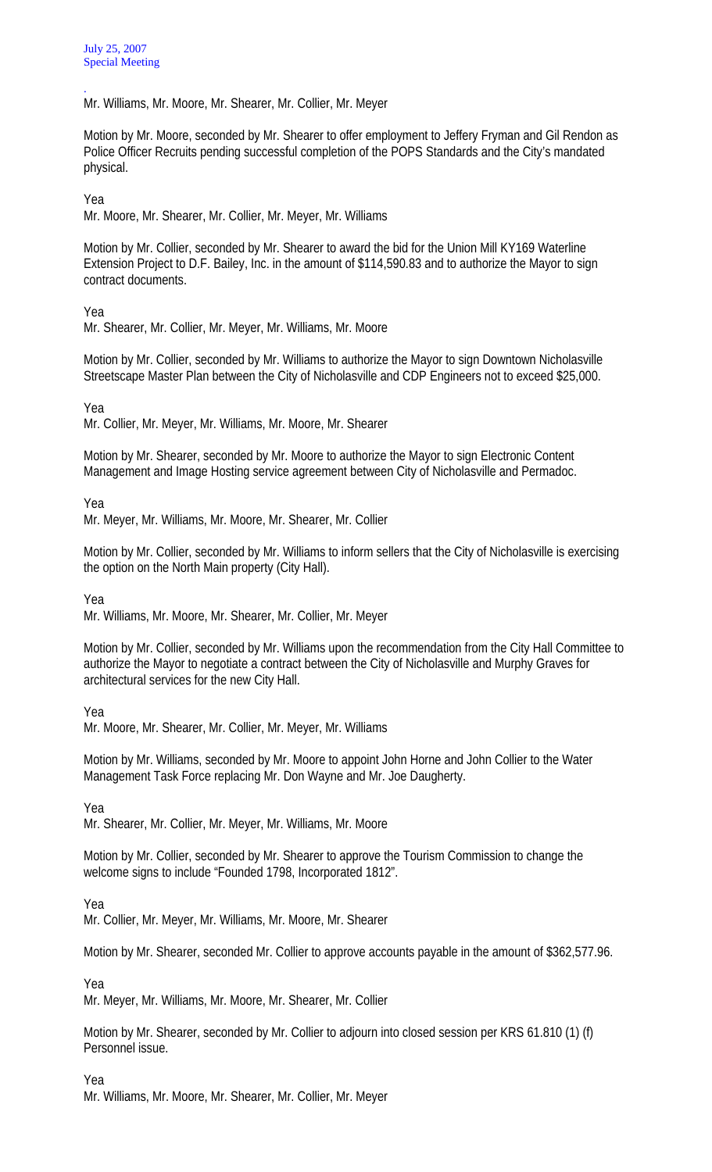. Mr. Williams, Mr. Moore, Mr. Shearer, Mr. Collier, Mr. Meyer

Motion by Mr. Moore, seconded by Mr. Shearer to offer employment to Jeffery Fryman and Gil Rendon as Police Officer Recruits pending successful completion of the POPS Standards and the City's mandated physical.

Yea

Mr. Moore, Mr. Shearer, Mr. Collier, Mr. Meyer, Mr. Williams

Motion by Mr. Collier, seconded by Mr. Shearer to award the bid for the Union Mill KY169 Waterline Extension Project to D.F. Bailey, Inc. in the amount of \$114,590.83 and to authorize the Mayor to sign contract documents.

Yea

Mr. Shearer, Mr. Collier, Mr. Meyer, Mr. Williams, Mr. Moore

Motion by Mr. Collier, seconded by Mr. Williams to authorize the Mayor to sign Downtown Nicholasville Streetscape Master Plan between the City of Nicholasville and CDP Engineers not to exceed \$25,000.

Yea

Mr. Collier, Mr. Meyer, Mr. Williams, Mr. Moore, Mr. Shearer

Motion by Mr. Shearer, seconded by Mr. Moore to authorize the Mayor to sign Electronic Content Management and Image Hosting service agreement between City of Nicholasville and Permadoc.

Yea

Mr. Meyer, Mr. Williams, Mr. Moore, Mr. Shearer, Mr. Collier

Motion by Mr. Collier, seconded by Mr. Williams to inform sellers that the City of Nicholasville is exercising the option on the North Main property (City Hall).

Yea

Mr. Williams, Mr. Moore, Mr. Shearer, Mr. Collier, Mr. Meyer

Motion by Mr. Collier, seconded by Mr. Williams upon the recommendation from the City Hall Committee to authorize the Mayor to negotiate a contract between the City of Nicholasville and Murphy Graves for architectural services for the new City Hall.

Yea

Mr. Moore, Mr. Shearer, Mr. Collier, Mr. Meyer, Mr. Williams

Motion by Mr. Williams, seconded by Mr. Moore to appoint John Horne and John Collier to the Water Management Task Force replacing Mr. Don Wayne and Mr. Joe Daugherty.

Yea

Mr. Shearer, Mr. Collier, Mr. Meyer, Mr. Williams, Mr. Moore

Motion by Mr. Collier, seconded by Mr. Shearer to approve the Tourism Commission to change the welcome signs to include "Founded 1798, Incorporated 1812".

Yea

Mr. Collier, Mr. Meyer, Mr. Williams, Mr. Moore, Mr. Shearer

Motion by Mr. Shearer, seconded Mr. Collier to approve accounts payable in the amount of \$362,577.96.

Yea

Mr. Meyer, Mr. Williams, Mr. Moore, Mr. Shearer, Mr. Collier

Motion by Mr. Shearer, seconded by Mr. Collier to adjourn into closed session per KRS 61.810 (1) (f) Personnel issue.

Yea

Mr. Williams, Mr. Moore, Mr. Shearer, Mr. Collier, Mr. Meyer